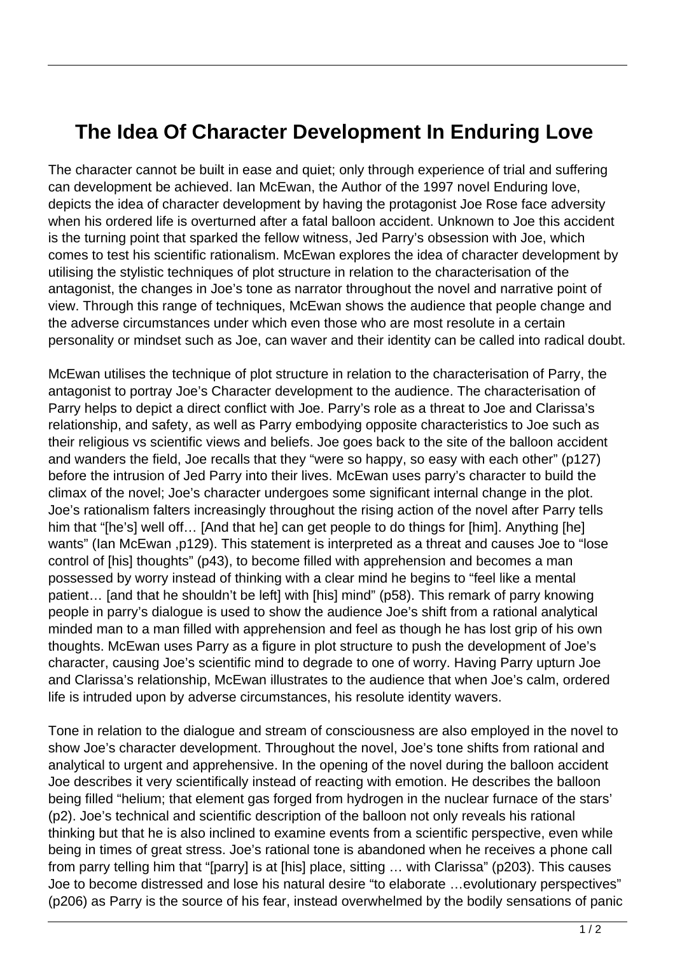## **The Idea Of Character Development In Enduring Love**

The character cannot be built in ease and quiet; only through experience of trial and suffering can development be achieved. Ian McEwan, the Author of the 1997 novel Enduring love, depicts the idea of character development by having the protagonist Joe Rose face adversity when his ordered life is overturned after a fatal balloon accident. Unknown to Joe this accident is the turning point that sparked the fellow witness, Jed Parry's obsession with Joe, which comes to test his scientific rationalism. McEwan explores the idea of character development by utilising the stylistic techniques of plot structure in relation to the characterisation of the antagonist, the changes in Joe's tone as narrator throughout the novel and narrative point of view. Through this range of techniques, McEwan shows the audience that people change and the adverse circumstances under which even those who are most resolute in a certain personality or mindset such as Joe, can waver and their identity can be called into radical doubt.

McEwan utilises the technique of plot structure in relation to the characterisation of Parry, the antagonist to portray Joe's Character development to the audience. The characterisation of Parry helps to depict a direct conflict with Joe. Parry's role as a threat to Joe and Clarissa's relationship, and safety, as well as Parry embodying opposite characteristics to Joe such as their religious vs scientific views and beliefs. Joe goes back to the site of the balloon accident and wanders the field, Joe recalls that they "were so happy, so easy with each other" (p127) before the intrusion of Jed Parry into their lives. McEwan uses parry's character to build the climax of the novel; Joe's character undergoes some significant internal change in the plot. Joe's rationalism falters increasingly throughout the rising action of the novel after Parry tells him that "[he's] well off... [And that he] can get people to do things for [him]. Anything [he] wants" (Ian McEwan ,p129). This statement is interpreted as a threat and causes Joe to "lose control of [his] thoughts" (p43), to become filled with apprehension and becomes a man possessed by worry instead of thinking with a clear mind he begins to "feel like a mental patient… [and that he shouldn't be left] with [his] mind" (p58). This remark of parry knowing people in parry's dialogue is used to show the audience Joe's shift from a rational analytical minded man to a man filled with apprehension and feel as though he has lost grip of his own thoughts. McEwan uses Parry as a figure in plot structure to push the development of Joe's character, causing Joe's scientific mind to degrade to one of worry. Having Parry upturn Joe and Clarissa's relationship, McEwan illustrates to the audience that when Joe's calm, ordered life is intruded upon by adverse circumstances, his resolute identity wavers.

Tone in relation to the dialogue and stream of consciousness are also employed in the novel to show Joe's character development. Throughout the novel, Joe's tone shifts from rational and analytical to urgent and apprehensive. In the opening of the novel during the balloon accident Joe describes it very scientifically instead of reacting with emotion. He describes the balloon being filled "helium; that element gas forged from hydrogen in the nuclear furnace of the stars' (p2). Joe's technical and scientific description of the balloon not only reveals his rational thinking but that he is also inclined to examine events from a scientific perspective, even while being in times of great stress. Joe's rational tone is abandoned when he receives a phone call from parry telling him that "[parry] is at [his] place, sitting … with Clarissa" (p203). This causes Joe to become distressed and lose his natural desire "to elaborate …evolutionary perspectives" (p206) as Parry is the source of his fear, instead overwhelmed by the bodily sensations of panic